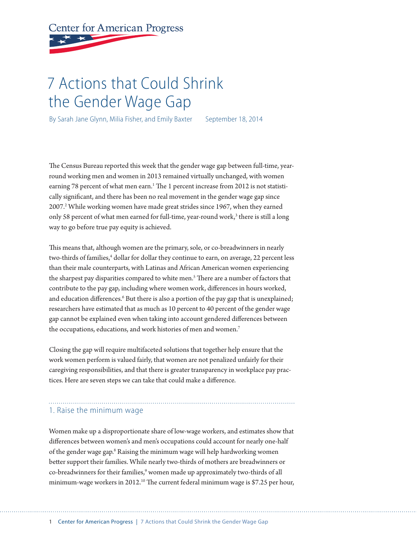# **Center for American Progress**

# 7 Actions that Could Shrink the Gender Wage Gap

By Sarah Jane Glynn, Milia Fisher, and Emily Baxter September 18, 2014

The Census Bureau reported this week that the gender wage gap between full-time, yearround working men and women in 2013 remained virtually unchanged, with women earning 78 percent of what men earn.<sup>1</sup> The 1 percent increase from 2012 is not statistically significant, and there has been no real movement in the gender wage gap since 2007.<sup>2</sup> While working women have made great strides since 1967, when they earned only 58 percent of what men earned for full-time, year-round work,<sup>3</sup> there is still a long way to go before true pay equity is achieved.

This means that, although women are the primary, sole, or co-breadwinners in nearly two-thirds of families,<sup>4</sup> dollar for dollar they continue to earn, on average, 22 percent less than their male counterparts, with Latinas and African American women experiencing the sharpest pay disparities compared to white men.<sup>5</sup> There are a number of factors that contribute to the pay gap, including where women work, differences in hours worked, and education differences.<sup>6</sup> But there is also a portion of the pay gap that is unexplained; researchers have estimated that as much as 10 percent to 40 percent of the gender wage gap cannot be explained even when taking into account gendered differences between the occupations, educations, and work histories of men and women.<sup>7</sup>

Closing the gap will require multifaceted solutions that together help ensure that the work women perform is valued fairly, that women are not penalized unfairly for their caregiving responsibilities, and that there is greater transparency in workplace pay practices. Here are seven steps we can take that could make a difference.

#### 1. Raise the minimum wage

Women make up a disproportionate share of low-wage workers, and estimates show that differences between women's and men's occupations could account for nearly one-half of the gender wage gap.<sup>8</sup> Raising the minimum wage will help hardworking women better support their families. While nearly two-thirds of mothers are breadwinners or co-breadwinners for their families,<sup>9</sup> women made up approximately two-thirds of all minimum-wage workers in 2012.<sup>10</sup> The current federal minimum wage is \$7.25 per hour,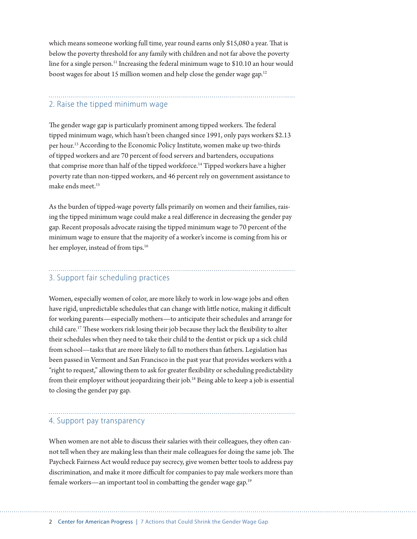which means someone working full time, year round earns only \$15,080 a year. That is below the poverty threshold for any family with children and not far above the poverty line for a single person.<sup>11</sup> Increasing the federal minimum wage to \$10.10 an hour would boost wages for about 15 million women and help close the gender wage gap.<sup>12</sup>

## 2. Raise the tipped minimum wage

The gender wage gap is particularly prominent among tipped workers. The federal tipped minimum wage, which hasn't been changed since 1991, only pays workers \$2.13 per hour.13 According to the Economic Policy Institute, women make up two-thirds of tipped workers and are 70 percent of food servers and bartenders, occupations that comprise more than half of the tipped workforce.<sup>14</sup> Tipped workers have a higher poverty rate than non-tipped workers, and 46 percent rely on government assistance to make ends meet.<sup>15</sup>

As the burden of tipped-wage poverty falls primarily on women and their families, raising the tipped minimum wage could make a real difference in decreasing the gender pay gap. Recent proposals advocate raising the tipped minimum wage to 70 percent of the minimum wage to ensure that the majority of a worker's income is coming from his or her employer, instead of from tips.<sup>16</sup>

# 3. Support fair scheduling practices

Women, especially women of color, are more likely to work in low-wage jobs and often have rigid, unpredictable schedules that can change with little notice, making it difficult for working parents—especially mothers—to anticipate their schedules and arrange for child care.17 These workers risk losing their job because they lack the flexibility to alter their schedules when they need to take their child to the dentist or pick up a sick child from school—tasks that are more likely to fall to mothers than fathers. Legislation has been passed in Vermont and San Francisco in the past year that provides workers with a "right to request," allowing them to ask for greater flexibility or scheduling predictability from their employer without jeopardizing their job.<sup>18</sup> Being able to keep a job is essential to closing the gender pay gap.

#### 4. Support pay transparency

When women are not able to discuss their salaries with their colleagues, they often cannot tell when they are making less than their male colleagues for doing the same job. The Paycheck Fairness Act would reduce pay secrecy, give women better tools to address pay discrimination, and make it more difficult for companies to pay male workers more than female workers—an important tool in combatting the gender wage gap.<sup>19</sup>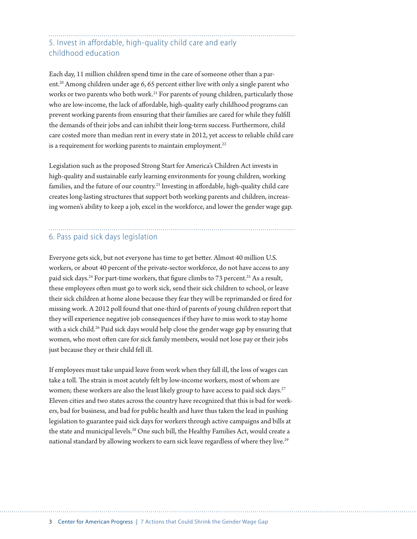### 5. Invest in affordable, high-quality child care and early childhood education

Each day, 11 million children spend time in the care of someone other than a parent.20 Among children under age 6, 65 percent either live with only a single parent who works or two parents who both work.<sup>21</sup> For parents of young children, particularly those who are low-income, the lack of affordable, high-quality early childhood programs can prevent working parents from ensuring that their families are cared for while they fulfill the demands of their jobs and can inhibit their long-term success. Furthermore, child care costed more than median rent in every state in 2012, yet access to reliable child care is a requirement for working parents to maintain employment.<sup>22</sup>

Legislation such as the proposed Strong Start for America's Children Act invests in high-quality and sustainable early learning environments for young children, working families, and the future of our country.<sup>23</sup> Investing in affordable, high-quality child care creates long-lasting structures that support both working parents and children, increasing women's ability to keep a job, excel in the workforce, and lower the gender wage gap.

#### 6. Pass paid sick days legislation

Everyone gets sick, but not everyone has time to get better. Almost 40 million U.S. workers, or about 40 percent of the private-sector workforce, do not have access to any paid sick days.<sup>24</sup> For part-time workers, that figure climbs to 73 percent.<sup>25</sup> As a result, these employees often must go to work sick, send their sick children to school, or leave their sick children at home alone because they fear they will be reprimanded or fired for missing work. A 2012 poll found that one-third of parents of young children report that they will experience negative job consequences if they have to miss work to stay home with a sick child.<sup>26</sup> Paid sick days would help close the gender wage gap by ensuring that women, who most often care for sick family members, would not lose pay or their jobs just because they or their child fell ill.

If employees must take unpaid leave from work when they fall ill, the loss of wages can take a toll. The strain is most acutely felt by low-income workers, most of whom are women; these workers are also the least likely group to have access to paid sick days.<sup>27</sup> Eleven cities and two states across the country have recognized that this is bad for workers, bad for business, and bad for public health and have thus taken the lead in pushing legislation to guarantee paid sick days for workers through active campaigns and bills at the state and municipal levels.<sup>28</sup> One such bill, the Healthy Families Act, would create a national standard by allowing workers to earn sick leave regardless of where they live.<sup>29</sup>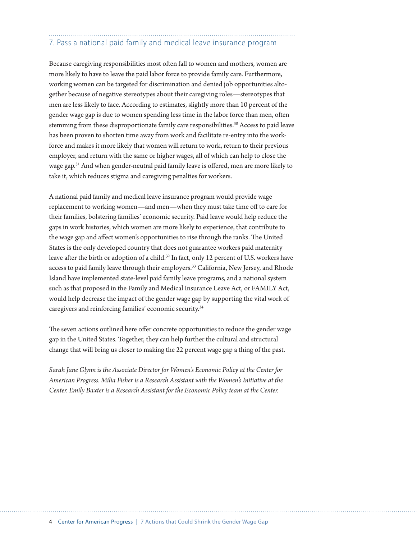# 7. Pass a national paid family and medical leave insurance program

Because caregiving responsibilities most often fall to women and mothers, women are more likely to have to leave the paid labor force to provide family care. Furthermore, working women can be targeted for discrimination and denied job opportunities altogether because of negative stereotypes about their caregiving roles—stereotypes that men are less likely to face. According to estimates, slightly more than 10 percent of the gender wage gap is due to women spending less time in the labor force than men, often stemming from these disproportionate family care responsibilities.<sup>30</sup> Access to paid leave has been proven to shorten time away from work and facilitate re-entry into the workforce and makes it more likely that women will return to work, return to their previous employer, and return with the same or higher wages, all of which can help to close the wage gap.31 And when gender-neutral paid family leave is offered, men are more likely to take it, which reduces stigma and caregiving penalties for workers.

A national paid family and medical leave insurance program would provide wage replacement to working women—and men—when they must take time off to care for their families, bolstering families' economic security. Paid leave would help reduce the gaps in work histories, which women are more likely to experience, that contribute to the wage gap and affect women's opportunities to rise through the ranks. The United States is the only developed country that does not guarantee workers paid maternity leave after the birth or adoption of a child.<sup>32</sup> In fact, only 12 percent of U.S. workers have access to paid family leave through their employers.33 California, New Jersey, and Rhode Island have implemented state-level paid family leave programs, and a national system such as that proposed in the Family and Medical Insurance Leave Act, or FAMILY Act, would help decrease the impact of the gender wage gap by supporting the vital work of caregivers and reinforcing families' economic security.34

The seven actions outlined here offer concrete opportunities to reduce the gender wage gap in the United States. Together, they can help further the cultural and structural change that will bring us closer to making the 22 percent wage gap a thing of the past.

*Sarah Jane Glynn is the Associate Director for Women's Economic Policy at the Center for American Progress. Milia Fisher is a Research Assistant with the Women's Initiative at the Center. Emily Baxter is a Research Assistant for the Economic Policy team at the Center.*